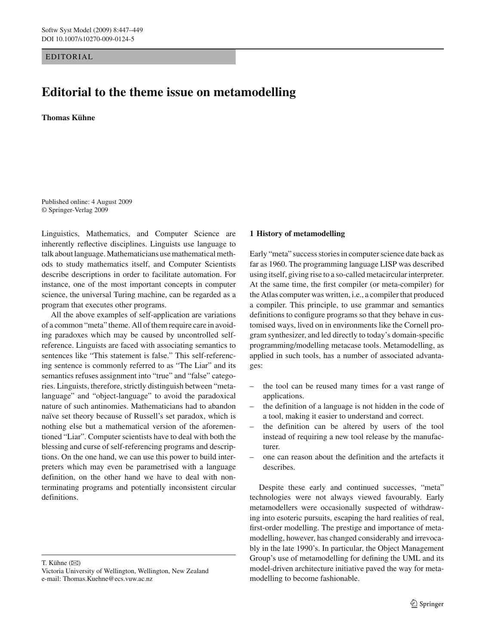EDITORIAL

# **Editorial to the theme issue on metamodelling**

**Thomas Kühne**

Published online: 4 August 2009 © Springer-Verlag 2009

Linguistics, Mathematics, and Computer Science are inherently reflective disciplines. Linguists use language to talk about language.Mathematicians use mathematical methods to study mathematics itself, and Computer Scientists describe descriptions in order to facilitate automation. For instance, one of the most important concepts in computer science, the universal Turing machine, can be regarded as a program that executes other programs.

All the above examples of self-application are variations of a common "meta" theme. All of them require care in avoiding paradoxes which may be caused by uncontrolled selfreference. Linguists are faced with associating semantics to sentences like "This statement is false." This self-referencing sentence is commonly referred to as "The Liar" and its semantics refuses assignment into "true" and "false" categories. Linguists, therefore, strictly distinguish between "metalanguage" and "object-language" to avoid the paradoxical nature of such antinomies. Mathematicians had to abandon naïve set theory because of Russell's set paradox, which is nothing else but a mathematical version of the aforementioned "Liar". Computer scientists have to deal with both the blessing and curse of self-referencing programs and descriptions. On the one hand, we can use this power to build interpreters which may even be parametrised with a language definition, on the other hand we have to deal with nonterminating programs and potentially inconsistent circular definitions.

T. Kühne  $(\boxtimes)$ 

## **1 History of metamodelling**

Early "meta" success stories in computer science date back as far as 1960. The programming language LISP was described using itself, giving rise to a so-called metacircular interpreter. At the same time, the first compiler (or meta-compiler) for the Atlas computer was written, i.e., a compiler that produced a compiler. This principle, to use grammar and semantics definitions to configure programs so that they behave in customised ways, lived on in environments like the Cornell program synthesizer, and led directly to today's domain-specific programming/modelling metacase tools. Metamodelling, as applied in such tools, has a number of associated advantages:

- the tool can be reused many times for a vast range of applications.
- the definition of a language is not hidden in the code of a tool, making it easier to understand and correct.
- the definition can be altered by users of the tool instead of requiring a new tool release by the manufacturer.
- one can reason about the definition and the artefacts it describes.

Despite these early and continued successes, "meta" technologies were not always viewed favourably. Early metamodellers were occasionally suspected of withdrawing into esoteric pursuits, escaping the hard realities of real, first-order modelling. The prestige and importance of metamodelling, however, has changed considerably and irrevocably in the late 1990's. In particular, the Object Management Group's use of metamodelling for defining the UML and its model-driven architecture initiative paved the way for metamodelling to become fashionable.

Victoria University of Wellington, Wellington, New Zealand e-mail: Thomas.Kuehne@ecs.vuw.ac.nz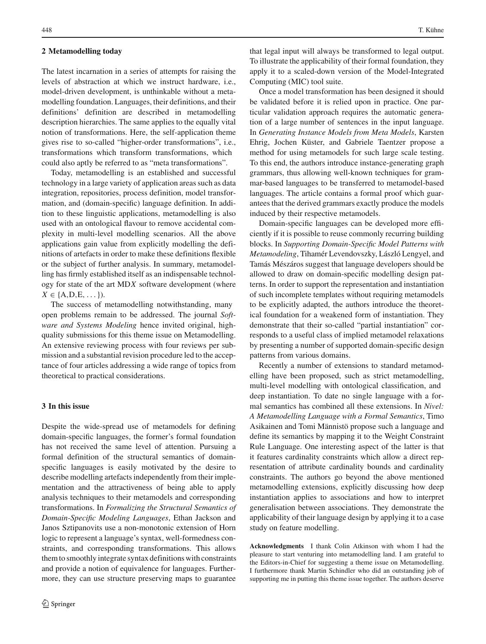#### **2 Metamodelling today**

The latest incarnation in a series of attempts for raising the levels of abstraction at which we instruct hardware, i.e., model-driven development, is unthinkable without a metamodelling foundation. Languages, their definitions, and their definitions' definition are described in metamodelling description hierarchies. The same applies to the equally vital notion of transformations. Here, the self-application theme gives rise to so-called "higher-order transformations", i.e., transformations which transform transformations, which could also aptly be referred to as "meta transformations".

Today, metamodelling is an established and successful technology in a large variety of application areas such as data integration, repositories, process definition, model transformation, and (domain-specific) language definition. In addition to these linguistic applications, metamodelling is also used with an ontological flavour to remove accidental complexity in multi-level modelling scenarios. All the above applications gain value from explicitly modelling the definitions of artefacts in order to make these definitions flexible or the subject of further analysis. In summary, metamodelling has firmly established itself as an indispensable technology for state of the art MD*X* software development (where  $X \in \{A, D, E, \dots\}$ .

The success of metamodelling notwithstanding, many open problems remain to be addressed. The journal *Software and Systems Modeling* hence invited original, highquality submissions for this theme issue on Metamodelling. An extensive reviewing process with four reviews per submission and a substantial revision procedure led to the acceptance of four articles addressing a wide range of topics from theoretical to practical considerations.

### **3 In this issue**

Despite the wide-spread use of metamodels for defining domain-specific languages, the former's formal foundation has not received the same level of attention. Pursuing a formal definition of the structural semantics of domainspecific languages is easily motivated by the desire to describe modelling artefacts independently from their implementation and the attractiveness of being able to apply analysis techniques to their metamodels and corresponding transformations. In *Formalizing the Structural Semantics of Domain-Specific Modeling Languages*, Ethan Jackson and Janos Sztipanovits use a non-monotonic extension of Horn logic to represent a language's syntax, well-formedness constraints, and corresponding transformations. This allows them to smoothly integrate syntax definitions with constraints and provide a notion of equivalence for languages. Furthermore, they can use structure preserving maps to guarantee

that legal input will always be transformed to legal output. To illustrate the applicability of their formal foundation, they apply it to a scaled-down version of the Model-Integrated Computing (MIC) tool suite.

Once a model transformation has been designed it should be validated before it is relied upon in practice. One particular validation approach requires the automatic generation of a large number of sentences in the input language. In *Generating Instance Models from Meta Models*, Karsten Ehrig, Jochen Küster, and Gabriele Taentzer propose a method for using metamodels for such large scale testing. To this end, the authors introduce instance-generating graph grammars, thus allowing well-known techniques for grammar-based languages to be transferred to metamodel-based languages. The article contains a formal proof which guarantees that the derived grammars exactly produce the models induced by their respective metamodels.

Domain-specific languages can be developed more efficiently if it is possible to reuse commonly recurring building blocks. In *Supporting Domain-Specific Model Patterns with Metamodeling*, Tihamér Levendovszky, László Lengyel, and Tamás Mészáros suggest that language developers should be allowed to draw on domain-specific modelling design patterns. In order to support the representation and instantiation of such incomplete templates without requiring metamodels to be explicitly adapted, the authors introduce the theoretical foundation for a weakened form of instantiation. They demonstrate that their so-called "partial instantiation" corresponds to a useful class of implied metamodel relaxations by presenting a number of supported domain-specific design patterns from various domains.

Recently a number of extensions to standard metamodelling have been proposed, such as strict metamodelling, multi-level modelling with ontological classification, and deep instantiation. To date no single language with a formal semantics has combined all these extensions. In *Nivel: A Metamodelling Language with a Formal Semantics*, Timo Asikainen and Tomi Männistö propose such a language and define its semantics by mapping it to the Weight Constraint Rule Language. One interesting aspect of the latter is that it features cardinality constraints which allow a direct representation of attribute cardinality bounds and cardinality constraints. The authors go beyond the above mentioned metamodelling extensions, explicitly discussing how deep instantiation applies to associations and how to interpret generalisation between associations. They demonstrate the applicability of their language design by applying it to a case study on feature modelling.

**Acknowledgments** I thank Colin Atkinson with whom I had the pleasure to start venturing into metamodelling land. I am grateful to the Editors-in-Chief for suggesting a theme issue on Metamodelling. I furthermore thank Martin Schindler who did an outstanding job of supporting me in putting this theme issue together. The authors deserve